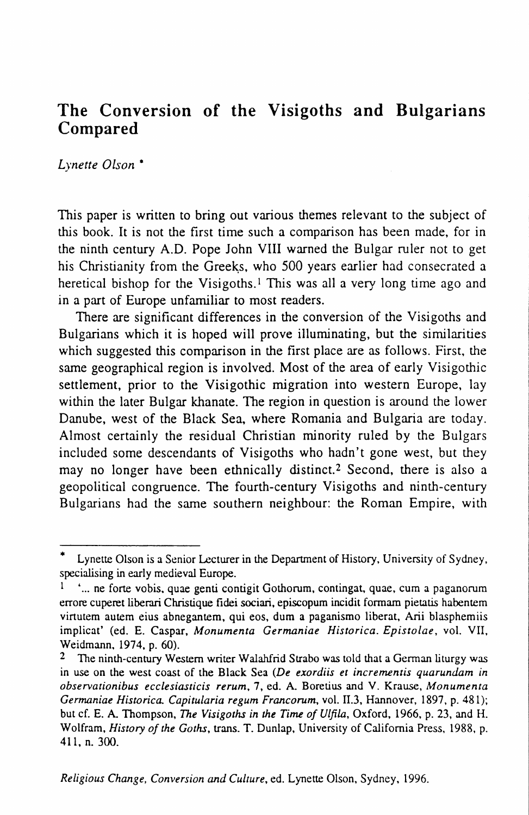# **The Conversion of the Visigoths and Bulgarians Compared**

*Lynette Olson* •

This paper is written to bring out various themes relevant to the subject of this book. It is not the first time such a comparison has been made, for in the ninth century A.D. Pope John VIII warned the Bulgar ruler not to get his Christianity from the Greeks, who 500 years earlier had consecrated a heretical bishop for the Visigoths.<sup>1</sup> This was all a very long time ago and in a part of Europe unfamiliar to most readers.

There are significant differences in the conversion of the Visigoths and Bulgarians which it is hoped will prove illuminating, but the similarities which suggested this comparison in the first place are as follows. First, the same geographical region is involved. Most of the area of early Visigothic settlement, prior to the Visigothic migration into western Europe, lay within the later Bulgar khanate. The region in question is around the lower Danube, west of the Black Sea, where Romania and Bulgaria are today. Almost certainly the residual Christian minority ruled by the Bulgars included some descendants of Visigoths who hadn't gone west, but they may no longer have been ethnically distinct.<sup>2</sup> Second, there is also a geopolitical congruence. The fourth-century Visigoths and ninth-century Bulgarians had the same southern neighbour: the Roman Empire, with

Lynette Olson is a Senior Lecturer in the Department of History, University of Sydney, specialising in early medieval Europe.

<sup>&</sup>quot;... ne forte vobis, quae genti contigit Gothorum, contingat, quae, cum a paganorum errore cuperet liberari Christique fidei sociari, episcopum incidit formam pietatis habentem virtutem autem eius abnegantem, qui eos, dum a paganismo liberat, Arii blasphemiis implicat' (ed. E. Caspar, *Monumenta Germaniae Historica. Epistolae,* vol. VII. Weidmann, 1974, p. 60).

<sup>&</sup>lt;sup>2</sup> The ninth-century Western writer Walahfrid Strabo was told that a German liturgy was in use on the west coast of the Black Sea *(De exordiis et incrementis quarundam in observationibus ecclesiasticis rerum,* 7, ed. A. Boretius and V. Krause, *Monumenta Germaniae Historica. Capitularia regum Francorum,* vol. II.3, Hannover, 1897, p. 481); but cf. E. A. Thompson, *The Visigoths in the Time of Ulfila,* Oxford, 1966, p. 23, and H. Wolfram, *History of the Goths,* trans. T. Dunlap, University of California Press, 1988, p. 411, n. 300.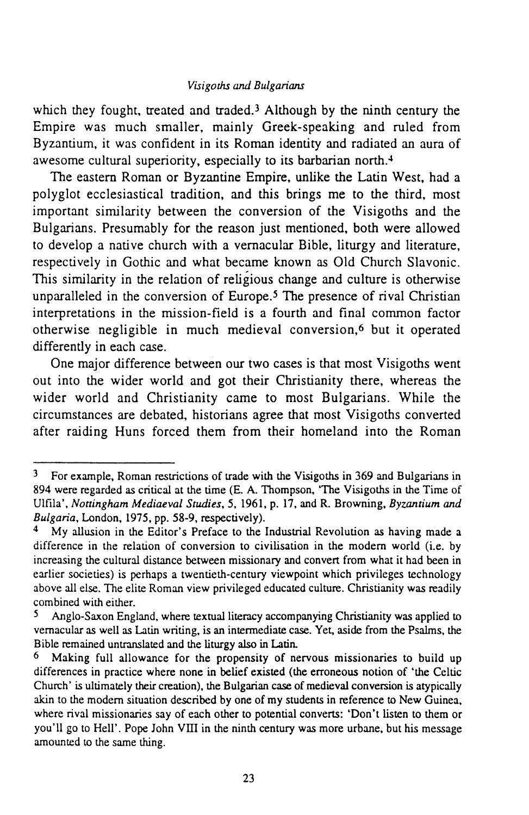# *Visigoths and Bulgarians*

which they fought, treated and traded.<sup>3</sup> Although by the ninth century the Empire was much smaller, mainly Greek-speaking and ruled from Byzantium, it was confident in its Roman identity and radiated an aura of awesome cultural superiority, especially to its barbarian north.<sup>4</sup>

The eastern Roman or Byzantine Empire, unlike the Latin West, had a polyglot ecclesiastical tradition, and this brings me to the third, most important similarity between the conversion of the Visigoths and the Bulgarians. Presumably for the reason just mentioned, both were allowed to develop a native church with a vernacular Bible, liturgy and literature, respectively in Gothic and what became known as Old Church Slavonic. This similarity in the relation of religious change and culture is otherwise unparalleled in the conversion of Europe.<sup>5</sup> The presence of rival Christian interpretations in the mission-field is a fourth and final common factor otherwise negligible in much medieval conversion,6 but it operated differently in each case.

One major difference between our two cases is that most Visigoths went out into the wider world and got their Christianity there, whereas the wider world and Christianity came to most Bulgarians. While the circumstances are debated, historians agree that most Visigoths converted after raiding Huns forced them from their homeland into the Roman

<sup>3</sup> For example, Roman restrictions of trade with the Visigoths in 369 and Bulgarians in 894 were regarded as critical at the time (E. A. Thompson, 'The Visigoths in the Time of Ulfila', *Nottingham Mediaeval Studies, 5,* 1961, p. 17, and R. Browning, *Byzantium and Bulgaria,* London, 1975, pp. 58-9, respectively).

<sup>4</sup> My allusion in the Editor's Preface to the Industrial Revolution as having made a difference in the relation of conversion to civilisation in the modem world (i.e. by increasing the cultural distance between missionary and convert from what it had been in earlier societies) is perhaps a twentieth-century viewpoint which privileges technology above all else. The elite Roman view privileged educated culture. Christianity was readily combined with either.

*<sup>5</sup>* Anglo-Saxon England, where textual literacy accompanying Christianity was applied to vernacular as well as Latin writing, is an intermediate case. Yet, aside from the Psalms, the Bible remained untranslated and the liturgy also in Latin.

<sup>6</sup> Making full allowance for the propensity of nervous missionaries to build up differences in practice where none in belief existed (the erroneous notion of 'the Celtic Church' is ultimately their creation), the Bulgarian case of medieval conversion is atypically akin to the modem situation described by one of my students in reference to New Guinea, where rival missionaries say of each other to potential converts: 'Don't listen to them or you'll go to Hell'. Pope John VIII in the ninth century was more urbane, but his message amounted to the same thing.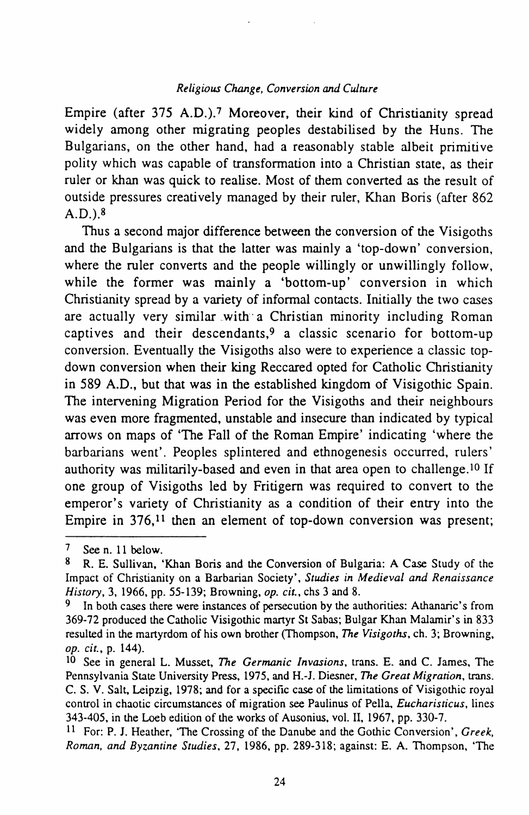# *Religious Clwnge, Conversion* and *Culture*

Empire (after 375 A.D.).7 Moreover, their kind of Christianity spread widely among other migrating peoples destabilised by the Huns. The Bulgarians, on the other hand, had a reasonably stable albeit primitive polity which was capable of transformation into a Christian state, as their ruler or khan was quick to realise. Most of them converted as the result of outside pressures creatively managed by their ruler, Khan Boris (after 862  $A.D.$ ) 8

Thus a second major difference between the conversion of the Visigoths and the Bulgarians is that the latter was mainly a 'top-down' conversion, where the ruler converts and the people willingly or unwillingly follow, while the former was mainly a 'bottom-up' conversion in which Christianity spread by a variety of informal contacts. Initially the two cases are actually very similar with a Christian minority including Roman captives and their descendants,9 a classic scenario for bottom-up conversion. Eventually the Visigoths also were to experience a classic topdown conversion when their king Reccared opted for Catholic Christianity in 589 A.D., but that was in the established kingdom of Visigothic Spain. The intervening Migration Period for the Visigoths and their neighbours was even more fragmented, unstable and insecure than indicated by typical arrows on maps of 'The Fall of the Roman Empire' indicating 'where the barbarians went'. Peoples splintered and ethnogenesis occurred, rulers' authority was militarily-based and even in that area open to challenge.<sup>10</sup> If one group of Visigoths led by Fritigem was required to convert to the emperor's variety of Christianity as a condition of their entry into the Empire in  $376$ ,<sup>11</sup> then an element of top-down conversion was present;

<sup>7</sup> See n. 11 below.<br>8  $\overline{P}$  F Sullivan

<sup>8</sup> R. E. Sullivan, 'Khan Boris and the Conversion of Bulgaria: A Case Study of the Impact of Christianity on a Barbarian Society', *Studies in Medieval and Renaissance History,* 3, 1966, pp. 55-139; Browning, *op. cit.,* chs 3 and 8.

In both cases there were instances of persecution by the authorities: Athanaric's from 369-72 produced the Catholic Visigothic manyr St Sabas; Bulgar Khan Malamir's in 833 resulted in the martyrdom of his own brother (Thompson, *The Visigoths,* ch. 3; Browning, *op. cit.,* p. 144).

<sup>&</sup>lt;sup>10</sup> See in general L. Musset, *The Germanic Invasions*, trans. E. and C. James, The Pennsylvania State University Press, 1975, and H.-J. Diesner, *The Great Migration,* trans. C. S. V. Salt, Leipzig, 1978; and for a specific case of the limitations of Visigothic royal control in chaotic circumstances of migration see Paulinus of Pella. *Eucharisticus,* lines 343-405, in the Loeb edition of the works of Ausonius, vol. II, 1967, pp. 330-7.

II For: P. J. Heather, 'The Crossing of the Danube and the Gothic Conversion', *Greek, Romnn, and Byzantine Studies,* 27, 1986, pp. 289-318; against: E. A. Thompson, 'The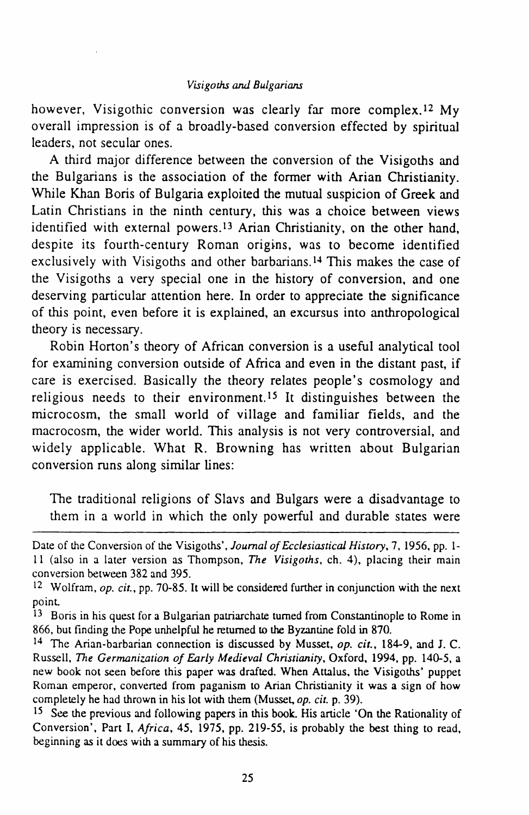however, Visigothic conversion was clearly far more complex.<sup>12</sup> My overall impression is of a broadly-based conversion effected by spiritual leaders, not secular ones.

A third major difference between the conversion of the Visigoths and the Bulgarians is the association of the former with Arian Christianity. While Khan Boris of Bulgaria exploited the mutual suspicion of Greek and Latin Christians in the ninth century, this was a choice between views identified with external powers.<sup>13</sup> Arian Christianity, on the other hand, despite its fourth-century Roman origins, was to become identified exclusively with Visigoths and other barbarians.14 This makes the case of the Visigoths a very special one in the history of conversion, and one deserving particular attention here. In order to appreciate the significance of this point, even before it is explained, an excursus into anthropological theory is necessary.

Robin Horton's theory of African conversion is a useful analytical tool for examining conversion outside of Africa and even in the distant past, if care is exercised. Basically the theory relates people's cosmology and religious needs to their environment.15 It distinguishes between the microcosm, the small world of village and familiar fields, and the macrocosm, the wider world. This analysis is not very controversial, and widely applicable. What R. Browning has written about Bulgarian conversion runs along similar lines:

The traditional religions of Slavs and Bulgars were a disadvantage to them in a world in which the only powerful and durable states were

15 See the previous and following papers in this book. His anicle 'On the Rationality of Conversion', Part I, *Africa,* 45, 1975, pp. 219-55, is probably the best thing to read, beginning as it does with a summary of his thesis.

Date of the Conversion of the Visigoths', *Journal of Ecclesiastical History,* 7, 1956, pp. Ill (also in a later version as Thompson, *The Visigoths,* ch. 4), placing their main conversion between 382 and 395.

<sup>12</sup> Wolfram, *op. cit.,* pp. 70-85. It will be considered funher in conjunction with the next point.

<sup>&</sup>lt;sup>13</sup> Boris in his quest for a Bulgarian patriarchate turned from Constantinople to Rome in 866, but finding the Pope unhelpful he returned to the Byzantine fold in 870.

<sup>14</sup> The Arian-barbarian connection is discussed by Musset, *op. cit.,* 184-9, and *I.* C. Russell, *The Germanization of Early Medieval Christianity,* Oxford, 1994, pp. 140-5, a new book not seen before this paper was drafted. When Attalus, the Visigoths' puppet Roman emperor, convened from paganism to Arian Christianity it was a sign of how completely he had thrown in his lot with them (Musset, *op. cit.* p. 39).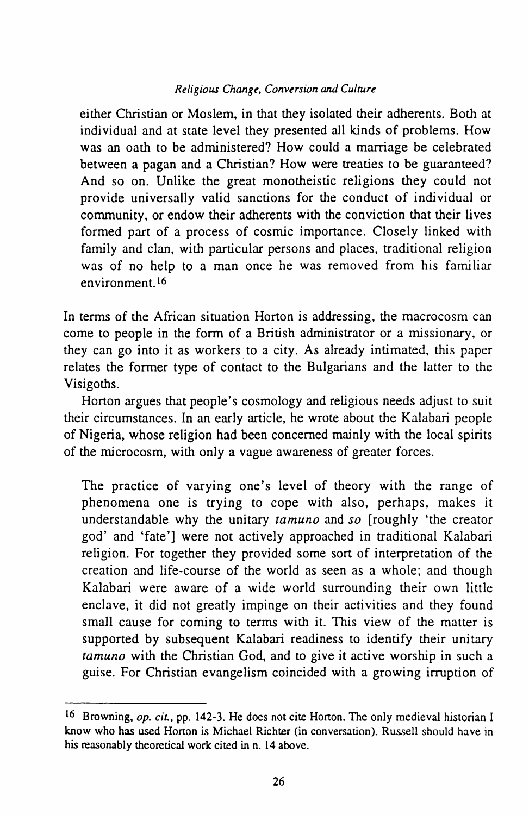# *Religious Change, Conversion and Culture*

either Christian or Moslem, in that they isolated their adherents. Both at individual and at state level they presented all kinds of problems. How was an oath to be administered? How could a marriage be celebrated between a pagan and a Christian? How were treaties to be guaranteed? And so on. Unlike the great monotheistic religions they could not provide universally valid sanctions for the conduct of individual or community, or endow their adherents with the conviction that their lives formed part of a process of cosmic importance. Closely linked with family and clan, with particular persons and places, traditional religion was of no help to a man once he was removed from his familiar environment.<sup>16</sup>

In terms of the African situation Horton is addressing, the macrocosm can come to people in the form of a British administrator or a missionary, or they can go into it as workers to a city. As already intimated, this paper relates the former type of contact to the Bulgarians and the latter to the Visigoths.

Horton argues that people's cosmology and religious needs adjust to suit their circumstances. In an early article, he wrote about the Kalahari people of Nigeria, whose religion had been concerned mainly with the local spirits of the microcosm, with only a vague awareness of greater forces.

The practice of varying one's level of theory with the range of phenomena one is trying to cope with also, perhaps, makes it understandable why the unitary *tamuno* and *so* [roughly 'the creator god' and 'fate'] were not actively approached in traditional Kalahari religion. For together they provided some sort of interpretation of the creation and life-course of the world as seen as a whole; and though Kalahari were aware of a wide world surrounding their own little enclave, it did not greatly impinge on their activities and they found small cause for coming to terms with it. This view of the matter is supported by subsequent Kalabari readiness to identify their unitary *tamuno* with the Christian God, and to give it active worship in such a guise. For Christian evangelism coincided with a growing irruption of

<sup>16</sup> Browning, *op. cit.,* pp. 142-3. He does not cite Horton. The only medieval historian I know who has used Horton is Michael Richter (in conversation). Russell should have in his reasonably theoretical work cited in n. 14 above.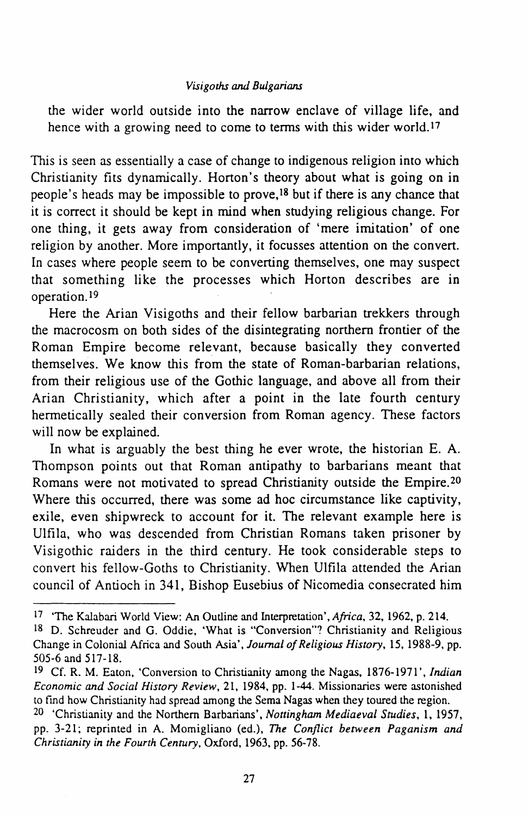# *Visigoths and Bulgarians*

the wider world outside into the narrow enclave of village life, and hence with a growing need to come to terms with this wider world.<sup>17</sup>

This is seen as essentially a case of change to indigenous religion into which Christianity fits dynamically. Horton's theory about what is going on in people's heads may be impossible to prove,<sup>18</sup> but if there is any chance that it is correct it should be kept in mind when studying religious change. For one thing, it gets away from consideration of 'mere imitation' of one religion by another. More importantly, it focusses attention on the convert. In cases where people seem to be converting themselves, one may suspect that something like the processes which Horton describes are in operation.19

Here the Arian Visigoths and their fellow barbarian trekkers through the macrocosm on both sides of the disintegrating northern frontier of the Roman Empire become relevant, because basically they converted themselves. We know this from the state of Roman-barbarian relations, from their religious use of the Gothic language, and above all from their Arian Christianity, which after a point in the late fourth century hermetically sealed their conversion from Roman agency. These factors will now be explained.

In what is arguably the best thing he ever wrote, the historian E. A. Thompson points out that Roman antipathy to barbarians meant that Romans were not motivated to spread Christianity outside the Empire.20 Where this occurred, there was some ad hoc circumstance like captivity, exile, even shipwreck to account for it. The relevant example here is Ulfila, who was descended from Christian Romans taken prisoner by Visigothic raiders in the third century. He took considerable steps to convert his fellow-Goths to Christianity. When Ulfila attended the Arian council of Antioch in 341, Bishop Eusebius of Nicomedia consecrated him

<sup>17 &#</sup>x27;The Kalahari World View: An Outline and Interpretation', *Africa.* 32, 1962, p. 214.

<sup>18</sup> D. Schreuder and G. Oddie, 'What is "Conversion"? Christianity and Religious Change in Colonial Africa and Soulh Asia', *Journal of Religious History,* 15, 1988-9, pp. 505-6 and 517-18.

<sup>&</sup>lt;sup>19</sup> Cf. R. M. Eaton, 'Conversion to Christianity among the Nagas, 1876-1971', *Indian Economic and Social History Review,* 21, 1984, pp. 1-44. Missionaries were astonished to find how Christianity had spread among the Sema Nagas when they toured the region.

<sup>&</sup>lt;sup>20</sup> 'Christianity and the Northern Barbarians', *Nottingham Mediaeval Studies*, 1, 1957, pp. 3-21; reprinted in A. Momigliano (ed.), *The Conflict between Paganism and Christianity in the Fourth Century,* Oxford, 1963, pp. 56-78.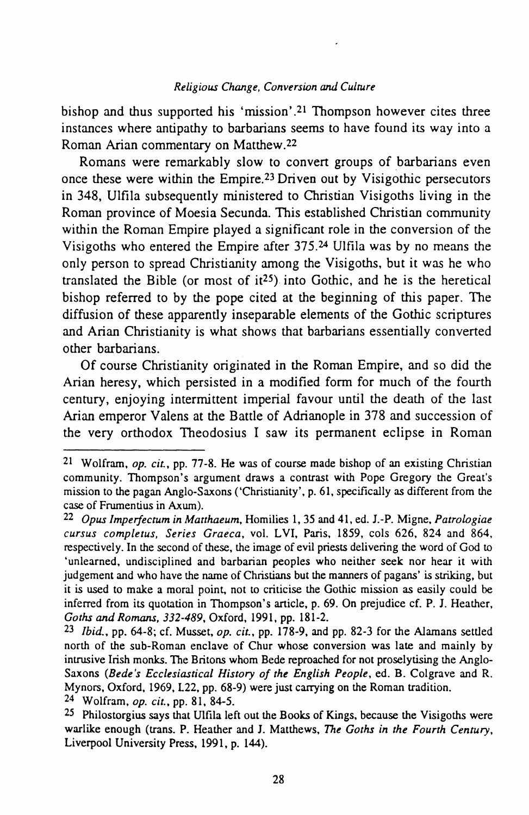#### *Religious Change, Conversion and Culrure*

bishop and thus supported his 'mission' .21 Thompson however cites three instances where antipathy to barbarians seems to have found its way into a Roman Arian commentary on Matthew.22

Romans were remarkably slow to convert groups of barbarians even once these were within the Empire.23 Driven out by Visigothic persecutors in 348, Ulfila subsequently ministered to Christian Visigoths living in the Roman province of Moesia Secunda. This established Christian community within the Roman Empire played a significant role in the conversion of the Visigoths who entered the Empire after 375.24 Ulfila was by no means the only person to spread Christianity among the Visigoths, but it was he who translated the Bible (or most of  $i^{25}$ ) into Gothic, and he is the heretical bishop referred to by the pope cited at the beginning of this paper. The diffusion of these apparently inseparable elements of the Gothic scriptures and Arian Christianity is what shows that barbarians essentially converted other barbarians.

Of course Christianity originated in the Roman Empire, and so did the Arian heresy, which persisted in a modified form for much of the fourth century, enjoying intermittent imperial favour until the death of the last Arian emperor Valens at the Battle of Adrianople in 378 and succession of the very orthodox Theodosius I saw its permanent eclipse in Roman

24 Wolfram, *op. cit.,* pp. 81, 84-5.

<sup>21</sup> Wolfram, *op. cit.,* pp. 77-8. He was of course made bishop of an existing Christian community. Thompson's argument draws a contrast with Pope Gregory the Great's mission to the pagan Anglo-Saxons ('Christianity', p. 61, specifically as different from the case of Frumentius in Axum).

<sup>22</sup> *Opus lmperfectum in Matthaeum,* Homilies I, 35 and 41, ed. J.-P. Migne, *Patrologiae curs us completus, Series Graeca,* val. LVI, Paris, 1859, cols 626, 824 and 864, respectively. In the second of these, the image of evil priests delivering the word of God to 'unlearned, undisciplined and barbarian peoples who neither seek nor hear it with judgement and who have the name of Christians but the manners of pagans' is striking, but it is used to make a moral point, not to criticise the Gothic mission as easily could be inferred from its quotation in Thompson's article, p. 69. On prejudice cf. P. J. Heather, *Goths and Romans, 332-489,* Oxford, 1991, pp. 181-2.

<sup>23</sup> *Ibid.,* pp. 64-8; cf. Musset, *op. cit.,* pp. 178-9, and pp. 82-3 for the Alamans settled north of the sub-Roman enclave of Chur whose conversion was late and mainly by intrusive Irish monks. The Britons whom Bede reproached for not proselytising the Anglo-Saxons *(Bede's Ecclesiastical History of the English People,* ed. B. Colgrave and R. Mynors, Oxford, 1969, L22, pp. 68-9) were just carrying on the Roman tradition.

<sup>25</sup> Philostorgius says that Ulfila left out the Books of Kings, because the Visigoths were warlike enough (trans. P. Heather and J. Matthews, *The Goths in the Fourth Century,*  Liverpool University Press, 1991, p. 144).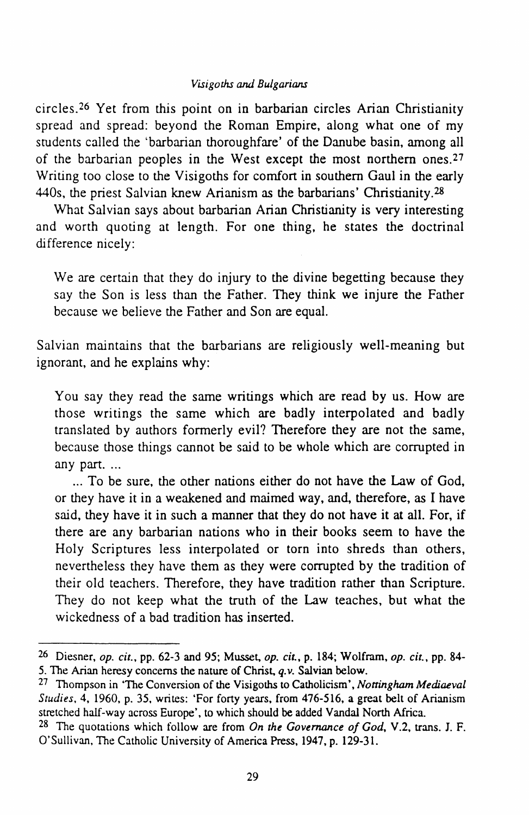# *Visigolhs arul Bulgarians*

circles.26 Yet from this point on in barbarian circles Arian Christianity spread and spread: beyond the Roman Empire, along what one of my students called the 'barbarian thoroughfare' of the Danube basin, among all of the barbarian peoples in the West except the most northern ones.27 Writing too close to the Visigoths for comfort in southern Gaul in the early 440s, the priest Salvian knew Arianism as the barbarians' Christianity.28

What Salvian says about barbarian Arian Christianity is very interesting and worth quoting at length. For one thing, he states the doctrinal difference nicely:

We are certain that they do injury to the divine begetting because they say the Son is less than the Father. They think we injure the Father because we believe the Father and Son are equal.

Salvian maintains that the barbarians are religiously well-meaning but ignorant, and he explains why:

You say they read the same writings which are read by us. How are those writings the same which are badly interpolated and badly translated by authors formerly evil? Therefore they are not the same, because those things cannot be said to be whole which are corrupted in any part. ...

... To be sure, the other nations either do not have the Law of God, or they have it in a weakened and maimed way, and, therefore, as I have said, they have it in such a manner that they do not have it at all. For, if there are any barbarian nations who in their books seem to have the Holy Scriptures less interpolated or torn into shreds than others, nevertheless they have them as they were corrupted by the tradition of their old teachers. Therefore, they have tradition rather than Scripture. They do not keep what the truth of the Law teaches, but what the wickedness of a bad tradition has inserted.

<sup>26</sup> Diesner, *op. cit.,* pp. 62-3 and 95; Musset, *op. cit.,* p. 184; Wolfram, *op. cit.,* pp. 84- 5. The Arian heresy concerns the nature of Christ, *q. v.* Salvian below.

<sup>27</sup> Thompson in 'The Conversion of the Visigoths to Catholicism', *Nottingham Mediaeval Studies,* 4, 1960, p. 35, writes: 'For forty years, from 476-516, a great belt of Arianism stretched half-way across Europe'. to which should be added Vandal North Africa.

<sup>&</sup>lt;sup>28</sup> The quotations which follow are from *On the Governance of God*, V.2, trans. *J. F.* O'Sullivan, The Catholic University of America Press, 1947, p. 129-31.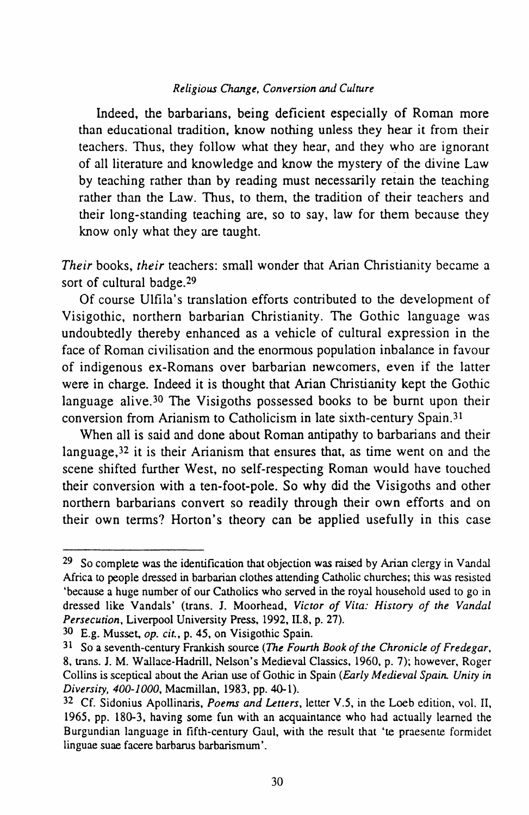# *Religious Change, Conversion* and *Culture*

Indeed, the barbarians, being deficient especially of Roman more than educational tradition, know nothing unless they hear it from their teachers. Thus, they follow what they hear, and they who are ignorant of all literature and knowledge and know the mystery of the divine Law by teaching rather than by reading must necessarily retain the teaching rather than the Law. Thus, to them, the tradition of their teachers and their long-standing teaching are, so to say, law for them because they know only what they are taught.

*Their* books, *their* teachers: small wonder that Arian Christianity became a sort of cultural badge.29

Of course Ulfila's translation efforts contributed to the development of Visigothic, northern barbarian Christianity. The Gothic language was undoubtedly thereby enhanced as a vehicle of cultural expression in the face of Roman civilisation and the enormous population inbalance in favour of indigenous ex-Romans over barbarian newcomers, even if the latter were in charge. Indeed it is thought that Arian Christianity kept the Gothic language alive.<sup>30</sup> The Visigoths possessed books to be burnt upon their conversion from Arianism to Catholicism in late sixth-century Spain.31

When all is said and done about Roman antipathy to barbarians and their language,32 it is their Arianism that ensures that, as time went on and the scene shifted further West, no self-respecting Roman would have touched their conversion with a ten-foot-pole. So why did the Visigoths and other northern barbarians convert so readily through their own efforts and on their own terms? Horton's theory can be applied usefully in this case

<sup>29</sup> So complete was the identification that objection was raised by Arian clergy in Vandal Africa to people dressed in barbarian clothes attending Catholic churches; this was resisted 'because a huge number of our Catholics who served in the royal household used to go in dressed like Vandals' (trans. J. Moorhead, *Victor of Vita: History of the Vandal Persecution,* Liverpool University Press, 1992, II.8, p. 27).

<sup>30</sup> E.g. Musset, *op. cit.,* p. 45, on Visigothic Spain.

<sup>31</sup> So a seventh-century Frankish source (The *Fourth Book of the Chronicle of Fredegar,*  8, trans. J. M. Wallace-Hadrill, Nelson's Medieval Classics, 1960, p. 7); however, Roger Collins is sceptical about the Arian use of Gothic in Spain *(Early Medieval Spain. Unity in Diversity, 400-1000,* Macmillan, 1983, pp. 40-1).

<sup>32</sup> Cf. Sidonius Apollinaris, *Poems and Letters,* letter V.5, in the Loeb edition, vol. II, 1965, pp. 180-3, having some fun with an acquaintance who had actually learned the Burgundian language in fifth-century Gaul, with the result that 'te praesente formidet linguae suae facere barbarus barbarismum'.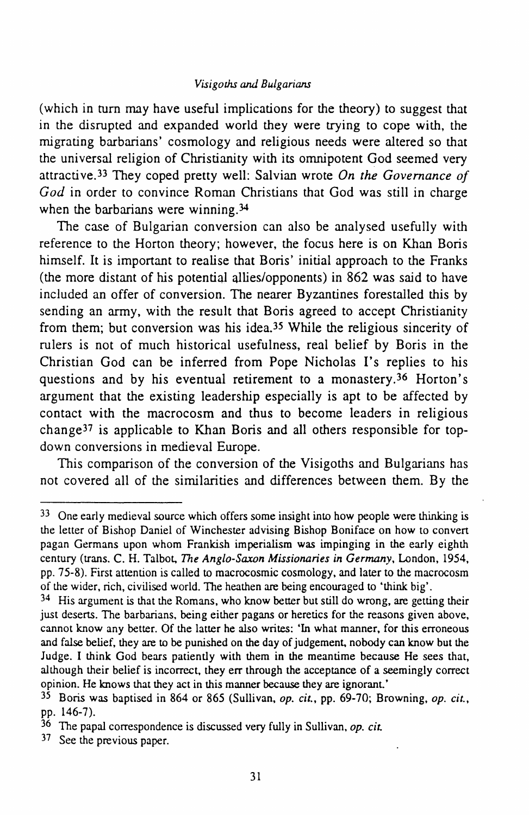#### *Visigoths aru1 Bulgarians*

(which in turn may have useful implications for the theory) to suggest that in the disrupted and expanded world they were trying to cope with, the migrating barbarians' cosmology and religious needs were altered so that the universal religion of Christianity with its omnipotent God seemed very attractive.33 They coped pretty well: Salvian wrote *On the Governance of God* in order to convince Roman Christians that God was still in charge when the barbarians were winning.<sup>34</sup>

The case of Bulgarian conversion can also be analysed usefully with reference to the Horton theory; however, the focus here is on Khan Boris himself. It is important to realise that Boris' initial approach to the Franks (the more distant of his potential allies/opponents) in 862 was said to have included an offer of conversion. The nearer Byzantines forestalled this by sending an army, with the result that Boris agreed to accept Christianity from them; but conversion was his idea.35 While the religious sincerity of rulers is not of much historical usefulness, real belief by Boris in the Christian God can be inferred from Pope Nicholas I's replies to his questions and by his eventual retirement to a monastery.<sup>36</sup> Horton's argument that the existing leadership especially is apt to be affected by contact with the macrocosm and thus to become leaders in religious change37 is applicable to Khan Boris and all others responsible for topdown conversions in medieval Europe.

This comparison of the conversion of the Visigoths and Bulgarians has not covered all of the similarities and differences between them. By the

<sup>&</sup>lt;sup>33</sup> One early medieval source which offers some insight into how people were thinking is the letter of Bishop Daniel of Winchester advising Bishop Boniface on how to convert pagan Germans upon whom Frankish imperialism was impinging in the early eighth century (trans. C. H. Talbot, *The Anglo-Saxon Missionaries in Germany,* London, 1954, pp. 75-8). First attention is called to macrocosmic cosmology, and later to the macrocosm of the wider, rich, civilised world. The heathen are being encouraged to 'think big'.

 $34$  His argument is that the Romans, who know better but still do wrong, are getting their just deserts. The barbarians. being either pagans or heretics for the reasons given above, cannot know any better. Of the latter he also writes: 'In what manner, for this erroneous and false belief. they are to be punished on the day of judgement, nobody can know but the Judge. I think God bears patiently with them in the meantime because He sees that, although their belief is incorrect, they err through the acceptance of a seemingly correct opinion. He knows that they act in this manner because they are ignorant.'

<sup>35</sup> Boris was baptised in 864 or 865 (Sullivan, *op. cit.,* pp. 69-70; Browning, *op. cit.,*  pp. 146-7).

<sup>36</sup> The papal correspondence is discussed very fully in Sullivan, *op. cit.* 

<sup>37</sup> See the previous paper.